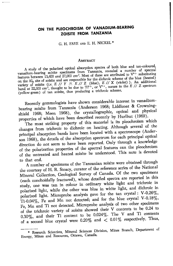## ON THE PLEOCHROISM OF VANADIUM-BEARING ZOISITE FROM TANZANIA

G. H. FAYE AND E. H. NICKEL \*

## **ABSTRACT**

A study of the polarized optical absorption spectra of both blue and tan-coloured, vanadium-bearing zoisite specimens from Tanzania, revealed a number of spectral features between 13,400 and 27,000 cm<sup>-1</sup>. Most of these are attributed to  $V^{3+}$  substituting on the Al<sub>3</sub> site of zoisite and are responsible for the dichroic scheme of the blue (heated) variety of zoisite (i.e.  $E$  //  $Y \cong E$  //  $Z$  (blue),  $E$  //  $X$  (violet)). An additional band at 22,500 cm<sup>-1</sup>, thought to be due to  $Ti^{3+}$ , or  $V^{4+}$ , occurs in the  $E$  //  $Z$  spectrum (yellow-green) of tan zoisite, thus producing a trichroic scheme.

Recently gemmologists have shown considerable interest in vanadiumbearing zoisite from Tanzania (Anderson 1968; Liddicoat & Crowningshield 1968; Meen 1968), the crystallographic, optical and physical properties of which have been described recently by Hurlbut (1969).

The most striking property of this material is its pleochroism which changes from trichroic to dichroic on heating. Although several of the principal absorption bands have been located with a spectroscope (Anderson 1968), the details of the absorption spectrum for each principal optical direction do not seem to have been reported. Only through a knowledge of the polarization properties of the spectral features can the pleochroism of the untreated and heated zoisite be understood. This note is devoted to that end.

A number of specimens of the Tanzanian zoisite were obtained through the courtesy of H. R. Steacy, curator of the reference series of the National Mineral Collection, Geological Survey of Canada. Of the two specimens (each conchoidally fractured), whose detailed spectra are reported in this study, one was tan in colour in ordinary white light and trichroic in polarized light, while the other was blue in white light, and dichroic in polarized light. Microprobe analysis gave for the tan crystal : V-0.26%, Ti-0.04%, Fe and Mn not detected; and for the blue crystal V-0.18%, Fe, Mn and Ti not detected. Microprobe analysis of two other specimens of the trichroic variety of zoisite showed their V contents to be 0.24 to 0.30%, and their Ti content to be 0.024%. The V and Ti contents of a second blue crystal were  $0.20\%$  and  $< 0.01\%$  respectively. Thus,

<sup>\*</sup> Research Scientists, Mineral Sciences Division, Mines Branch, Department of Energy, Mines and Resources, Ottawa, Canada.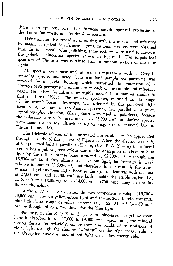there is an apparent correlation between certain spectral properties of<br>the Tanzanian zoisite and its titanium content.<br>Using an iterative procedure of cutting with a wire saw, and orienting

by means of optical interference figures, rational sections were obtained<br>from the tan crystal. After polishing, these sections were used to measure<br>the polarized absorption spectra shown in Figure 1. The unpolarized<br>spect

All spectra were measured at room temperature with a Cary-14 spectrophotometer. The standard sample replaced by a special housing which permitted the mounting of a Unitron MPS petrographic microscope in each of the sample and reference beams (in either the infrared or visible mode) in a manner similar to that of Burns (1966). The mineral specimen, mounted on the stage<br>of the sample-beam microscope, was oriented in the polarized light<br>beam so as to measure the desired spectrum, *i.e.*, parallel to a given<br>crystallographic

through a study of the spectra of Figure 1. When the electric vector E, of the polarized light is parallel to  $Z = a$ , (*i.e.*,  $E$  //  $Z = a$ ) the mineral section has a yellow-green colour due to the absorption of violet to blue<br>light by the rather intense band centered at  $22,500$ -cm<sup>-1</sup>. Although the Fight by the rather intense band centered at 22,500-cm<sup>-1</sup>. Although the 16,800-cm<sup>-1</sup> band does absorb some yellow light, its intensity is weak relative to that at 22,500-cm<sup>-1</sup>, and therefore the net result is the trent relative to that at 22,500-cm<sup>-1</sup>, and therefore the net result is the trans-<br>mission of yellow-green light. Because the spectral features with maxima e yellow at 27,000-cm<sup>-1</sup> and 13,400-cm<sup>-1</sup> are both outside the visible region, *i.e.*,<br>  $\sim$  25,000-cm<sup>-1</sup> (400nm) to  $\sim$  14,000-cm<sup>-1</sup> (700 nm), they do not in-<br>
fluence the colour.<br>
In the *E* // *Y* = *c* spectrum, the two-c

19,000 cm<sup>-1</sup>) absorbs yellow-green light and the section thereby transmits can be thought of as a "window" for the blue light. blue light. The trough or valley centered at  $\sim$  22,000-cm<sup>-1</sup> ( $\sim$ 450 nm)

Similarly, in the  $E$  //  $X = b$  spectrum, blue-green to yellow-green light is absorbed in the 17,000 to 19,000 cm<sup>-1</sup> region, and, the mineral section derives its red-violet colour from the combined transmission of violet light through the shallow "window" on the high-energy side of the absorption envelope, and of red light on its low-energy side.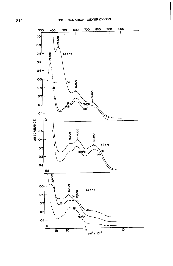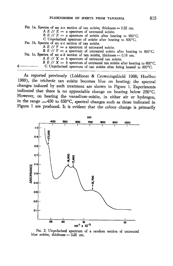| FIG. 1a. Spectra of an $a$ -c section of tan zoisite, thickness = 0.32 cm. |
|----------------------------------------------------------------------------|
| A E // $Z = a$ spectrum of untreated zoisite.                              |
| B E // Z = a spectrum of zoisite after heating to 600°C.                   |
| C Unpolarized spectrum of zoisite after heating to 600°C.                  |
| Fig. 1b. Spectra of an $a$ -c section of tan zoisite.                      |
| A E // $Y = a$ spectrum of untreated zoisite.                              |
| B E // Y = a spectrum of untreated zoisite after heating to 600°C.         |
| FIG. 1c. Spectra of an $a-b$ section of tan zoisite, thickness = 0.18 cm.  |
| A E // $X = b$ spectrum of untreated tan zoisite.                          |
| B E // X = b spectrum of untreated tan zoisite after heating to 600°C.     |
| C Unpolarized spectrum of tan zoisite after being heated to 600°C.         |
|                                                                            |

As reported previously (Liddicoat & Crowningshield 1968; Hurlbut 1969), the trichroic tan zoisite becomes blue on heating; the spectral changes induced by such treatment are shown in Figure 1. Experiments indicated that there is no appreciable change on heating below  $250^{\circ}$ C. However, on heating the vanadium-zoisite, in either air or hydrogen, in the range  $-450$  to 650°C, spectral changes such as those indicated in Figure I are produced. It is evident that the colour change is primarily



Frg. 2. Unpolarized spectrum of a random section of untreated blue zoisite, thickness  $= 0.26$  cm.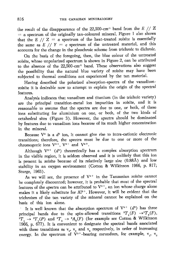the result of the disappearance of the 22,500-cm<sup>-1</sup> band from the E // Z  $= a$  spectrum of the originally tan-coloured mineral. Figure 1 also shows that the E // Z = a spectrum of the heat-treated zoisite is essentially the same as  $E$  //  $Y = c$  spectrum of the untreated material, and this accounts for the change in the pleochroic scheme from trichroic to dichroic.

On the basis of the foregoing, then, the blue colour of the untreated zoisite, whose unpolarized spectrum is shown in Figure 2, can be attributed to the absence of the  $22,500$ -cm<sup>-1</sup> band. These observations also suggest the possibility that the natural blue variety of zoisite may have been subjected to thermal conditions not experienced by the tan material.

Having described the polarized absorption-spectra of the vanadiumzoisite it is desirable now to attempt to explain the origin of the spectral features.

Analysis indicates that vanadium and titanium (in the trichoic variety) are the principal transition-metal ion impurities in zoisite, and it is reasonable to assume that the spectra are due to one, or both, of these ions substituting for aluminium on one, or both, of the two kinds of octahedral sites (Figure 3). However, the spectra should be dominated by features due to vanadium ions because of its much higher concentration in the mineral.

Because  $V^5$  is a  $d^0$  ion, it cannot give rise to intra-cationic electronic transitions; therefore, the spectra must be due to one or more of the chromogenic ions  $V^{2+}$ ,  $V^{3+}$  and  $V^{4+}$ .

Although  $V^{2+}$  ( $d^3$ ) theoretically has a complex absorption spectrum in the visible region, it is seldom observed and it is unlikely that this ion is present in zoisite because of its relatively large size (0.884) and low stability in an oxygen environment (Cotton & Wilkinson 1966, p. 817; Sturge, 1963).

As we will see, the presence of  $V^{4+}$  in the Tanzanian zoisite cannot be completely discounted; however, it is probable that most of the spectral features of the spectra can be attributed to  $V^{3+}$ , an ion whose charge alone makes it a likely substitute for Al<sup>3+</sup>. However, it will be evident that the trichroism of the tan variety of the mineral cannot be explained on the basis of this ion alone.

It is well known that the absorption spectrum of  $V^{3+}$   $(d^2)$  has three principal bands due to the spin-allowed transitions  ${}^3T_1(F) \rightarrow {}^3T_2(F)$ ,  ${}^{3}T_{1} \rightarrow {}^{3}T_{1}(P)$  and  ${}^{3}T_{1} \rightarrow {}^{3}A_{2}(F)$  (for example see Cotton & Wilkinson 1966, p. 677), It is convenient to designate the spectral bands associated with these transitions as  $v_1$ ,  $v_2$  and  $v_3$  respectively, in order of increasing energy. In the spectrum of  $V^{s+}$ -bearing corundum, for example,  $v_1$ ,  $v_2$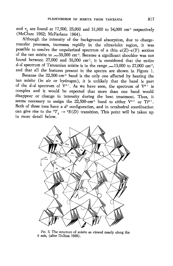and  $v<sub>s</sub>$  are found at 17,500, 25,000 and 31,000 to 34,000 cm<sup>-1</sup> respectively (McClure 1962; McFarlane 1964).

Although the intensity of the background absorption, due to chargetransfer processes, increases rapidly in the ultraviolet region, it was possible to resolve the unpolarized spectrum of a thin  $a(Z)-c(Y)$  section of the tan zoisite to  $-39,000$  cm<sup>-1</sup>. Because a significant shoulder was not found between 27,000 and 39,000 cm-1, it is considered that the entire  $d-d$  spectrum of Tanzanian zoisite is in the range  $\sim$ 13,000 to 27,000 cm<sup>-1</sup>, and that all the features present in the spectra are shown in Figure 1.

Because the 22,500-cm-1 band is the only one afiected by heating the tan zoisite (in air or hydrogen), it is unlikely that the band is part of the d-d spectrum of  $V^{3+}$ . As we have seen, the spectrum of  $V^{3+}$  is complex and it would be expected that more than one band would disappear or change in intensity during the heat treatment. Thus, it seems necessary to assign the 22,500-cm<sup>-1</sup> band to either  $V^{4+}$  or  $Ti^{3+}$ . Both of these ions have a  $d^1$  configuration, and in octahedral coordination can give rise to the  ${}^2T_2 \rightarrow {}^2E(D)$  transition. This point will be taken up in more detail below.



FIG. 3. The structure of zoisite as viewed nearly along the 0 axis, (after Dollase 1968).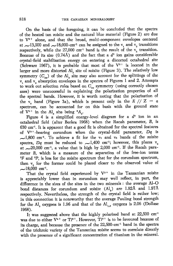On the basis of the foregoing, it can be concluded that the spectra of the heated tan zoisite and the natural blue material (Figure 2) are due to  $V^{3+}$  alone, and that the broad, multi-component envelopes centered at  $\sim$ 13,500 and  $\sim$ 18,000-cm<sup>-1</sup> can be assigned to the v, and v, transitions respectively, while the 27,000 cm<sup>-1</sup> band is the result of the  $v_a$  transition. Because of its size (0.74Å) and the fact that a  $d^2$  ion gains considerable crystal-field stabilization energy on entering a distorted octahedral site (Schwarz 1967), it is probable that most of the  $V^{3+}$  is located in the larger and more distorted Al, site of zoisite (Figure 3). The relatively low symmetry  $(C_{2n})$  of the Al<sub>3</sub> site may also account for the splittings of the  $v<sub>1</sub>$  and  $v<sub>s</sub>$  absorption envelopes in the spectra of Figures 1 and 2. Attempts to work out selection rules based on  $C_{2v}$  symmetry (using correctly chosen axes) were unsuccessful in explaining the polarization properties of all the spectral bands. However, it is worth noting that the polarization of the v<sub>n</sub> band (Figure 3a), which is present only in the E  $// Z = a$ spectrum, can be accounted for on this basis with the ground state of  $V^{s+}$  in the Al, site being  $^{8}A_{\circ}$ .

Figure 4 is a simplified energy-level diagram for a  $d^2$  ion in an octahedral field (after Berkes 1968) when the Racah parameter, B, is 630 cm'1. It is apparent that a good fit is obtained for the spectral features of  $V^{s+}$ -bearing corundum when the crystal-field parameter,  $Dq$  is  $-1,800$  cm<sup>-1</sup>. To achieve a fit for the v<sub>1</sub> and v<sub>3</sub> bands of the zoisite spectra,  $Dq$  must be reduced to  $-1,400$  cm<sup>-1</sup>; however, this places v, at  $\sim$  20,000 cm<sup>-1</sup>, a value that is high by 2,000 cm<sup>-1</sup>. If the Racah parameter  $B$ , which is a measure of the separation of the free-ion terms  ${}^{3}F$  and  ${}^{3}P$ , is less for the zoisite spectrum that for the corundum spectrum, then  $v_n$  for the former could be placed closer to the observed value of  $\sim$ 18,000 cm<sup>-1</sup>.

That the crystal field experienced by  $V^{3+}$  in the Tanzanian zoisite is appreciably lower than in corundum may well reflect, in part, the difference in the sizes of the sites in the two minerals : the average Al-O bond distances for corundum and zoisite (Al<sub>2</sub>) are 1.92Å and 1.97Å respectively. Nevertheless, the strength of the crystal field is rather low; in this connection it is noteworthy that the average Pauling bond strength for the  $Al_a$  oxygens is 1.96 and that of the  $Al_{1,2}$  oxygens is 2.06 (Dollase 1e68).

It was suggested above that the highly polarized band at  $22,500$  cm<sup>-1</sup> was due to either  $V^{4+}$  or  $Ti^{3+}$ . However,  $Ti^{3+}$  is to be favoured because of its charge, and because the presence of the 22,500-cm<sup>-1</sup> band in the spectra of the trichroic variety of the Tanzanian zoisite seems to correlate directly with the presence of a significant concentration of titanium in the mineral.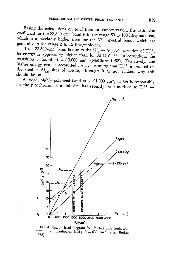Basing the calculations on total titanium concentration, the extinction coefficient for the 22,500-cm<sup>-1</sup> band is in the range 50 to 100 litre/mole-cm, which is appreciably higher than for the  $V^{3+}$  spectral bands which are generally in the range 2 to 15 litre/mole-cm.

If the 22,500-cm<sup>-1</sup> band is due to the  ${}^2T_2 \rightarrow {}^2E_2(D)$  transition of Ti<sup>3+</sup>, its energy is appreciably higher than for  $Al_2O_3$ :Ti<sup>3+</sup>. In corundum, the transition is found at  $\sim$ 19,000 cm<sup>-1</sup> (McClure 1962). Tentatively, the higher energy can be accounted for by assuming that Ti<sup>3+</sup> is ordered on the smaller  $Al_{1,2}$  sites of zoisite, although it is not evident why this should be so.

A broad, highly polarized band at  $\sim$ 21,000 cm<sup>-1</sup>, which is responsible for the pleochroism of andalusite, has recently been ascribed to Ti<sup>3+</sup>  $\rightarrow$ 



FIG. 4. Energy level diagram for  $d^2$  electronic configuration in an octahedral field;  $B = 630$  cm<sup>-1</sup> (after Berkes 1968).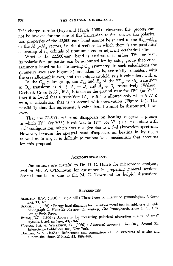$Ti<sup>4+</sup>$  charge transfer (Faye and Harris 1969). However, this process cannot be invoked for the case of the Tanzanian zoisite because the polarization properties of the 22,500-cm<sup>-1</sup> band cannot be related to the  $\text{Al}_{1,2}$ - $\text{Al}_{1,1}$ or the  $Al_{1,2}-Al_3$  vectors, *i.e.* the directions in which there is the possibility of overlap of  $t_{2a}$  orbitals of titanium ions on adjacent octahedral sites.

Whether the 22,500-cm<sup>-1</sup> band is attributed to either  $Ti^{3+}$  or  $V^{4+}$ , its polarization properties can be accounted for by using-group theoretical symmetry axes (see Figure 3) are taken to be essentially coincident with arguments based on its site having  $C_{2v}$  symmetry. In such calculations the the crystallographic axes, and the unique twofold axis is coincident with c.

In the  $C_{2v}$  point group, the  $T_{2g}$  and  $E_g$  of the  ${}^{2}T_{2g} \rightarrow {}^{2}E_g$  transition in  $O_h$ , transform as  $A_1 + A_2 + \tilde{B}_2$  and  $A_2 + B_2$ , respectively (Wilson, Decius & Cross 1955). If  $A_1$  is taken as the ground state for Ti<sup>s+</sup> (or V<sup>4+</sup>) then it is found that a transition  $(A_2 \rightarrow B_2)$  is allowed only when E // Z  $= a$ , a calculation that is in accord with observation (Figure 1a). The possibility that this agreement is coincidental cannot be discounted, however.

That the 22,500-cm<sup>-1</sup> band disappears on heating suggests a process in which  $Ti^{3+}$  (or  $V^{4+}$ ) is oxidized to  $Ti^{4+}$  (or  $V^{5+}$ ) *i.e.*, to a state with a  $d^{\circ}$  configuration, which does not give rise to a  $d-d$  absorption spectrum. However, because the spectral band disappears on heating in hydrogen as well as in air, it is difficult to rationalize a mechanism that accounts for this proposal.

## ACKNOWLEDGMENTS

The authors are grateful to Dr. D. C. Harris for microprobe analyses, and to Mr. P. O'Donovan for assistance in preparing mineral sections. Special thanks are due to Dr. M. G. Townsend for helpful discussions.

## REFERENCES

- ANDERSON, B.W. (1968): Triple bill: Three items of interest to gemmologists. J. Gem $mol. 11, 1-3.$
- BERKES, J.S. (1968) : Energy level diagrams for transition metal ions in cubic crystal fields. Monograph 2, Materials Research Laboratory, The Pennsylvania State Univ., Uniuersitg Park, Penn.
- BURNS, R.G. (1966) : Apparatus for measuring polarized absorption spectra of small crystals. J. Sci. Instrum, 43, 58-60.

crystals. J. Sci. Instrum, 43, 38-60.<br>Corron, F.A. & WILKINSON, G. (1966): Advanced inorganic chemistry, Second Ed. Interscience Publishers, Inc., New York.

DOLLASE, W.A. (1968): Refinement and comparison of the structures of zoisite and clinozoisite. Amer. Mineral. 53, 1882-1898.